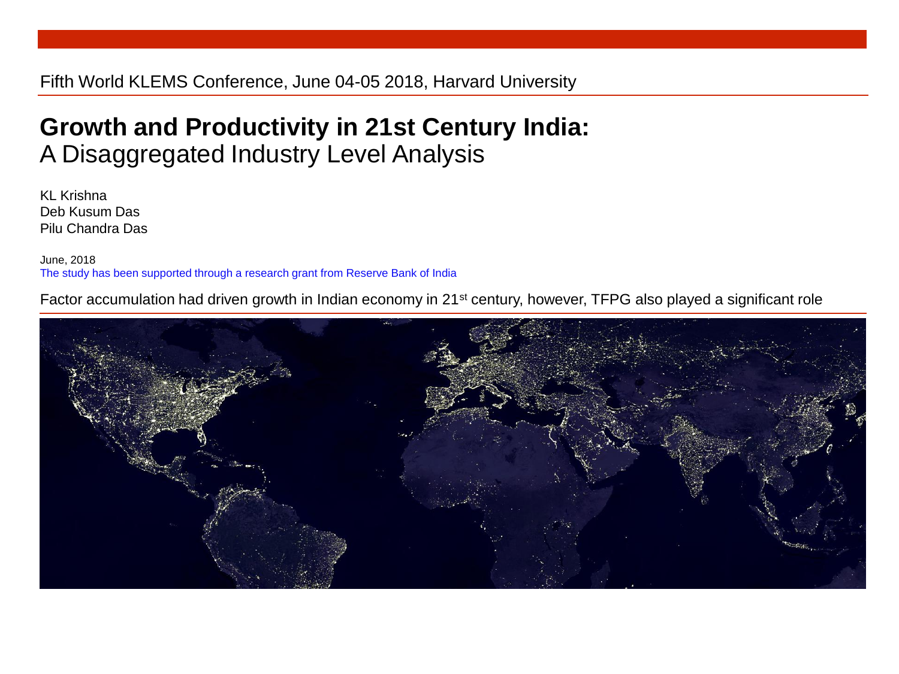#### Fifth World KLEMS Conference, June 04-05 2018, Harvard University

#### **Growth and Productivity in 21st Century India:** A Disaggregated Industry Level Analysis

KL Krishna Deb Kusum Das Pilu Chandra Das

June, 2018 The study has been supported through a research grant from Reserve Bank of India

Factor accumulation had driven growth in Indian economy in 21st century, however, TFPG also played a significant role

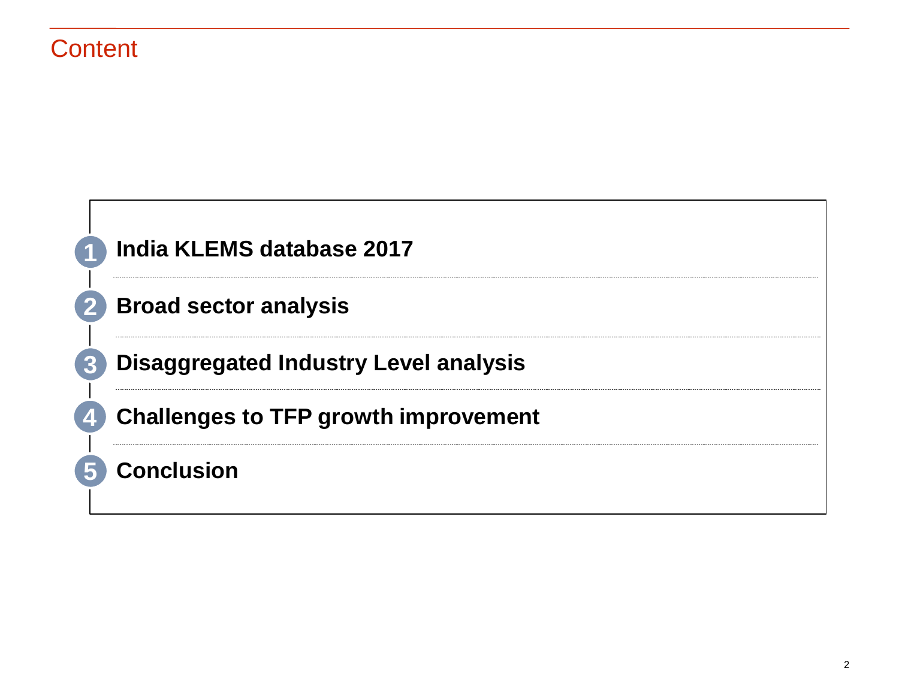#### **Content**

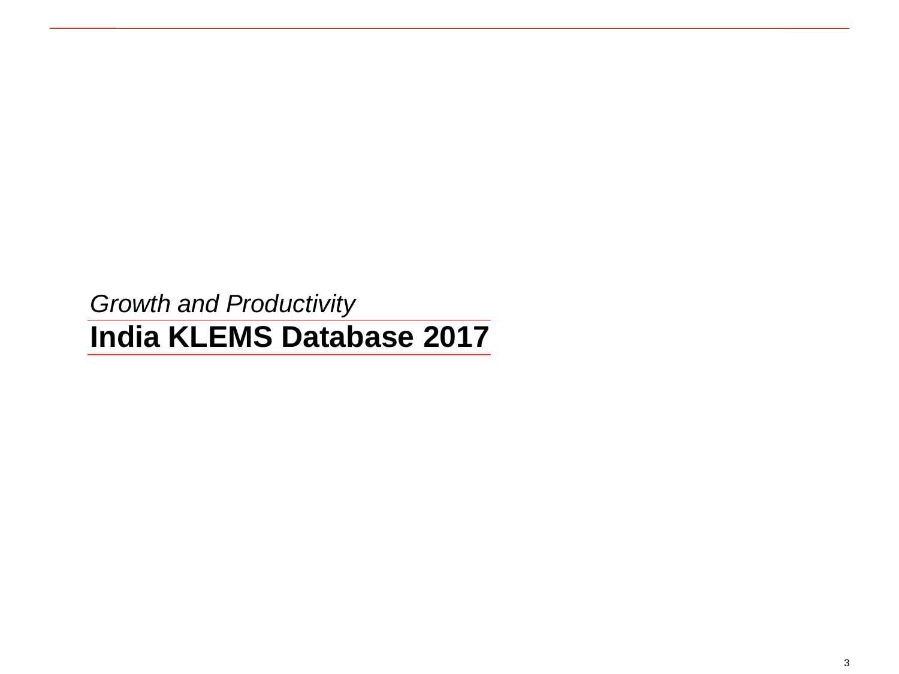*Growth and Productivity* **India KLEMS Database 2017**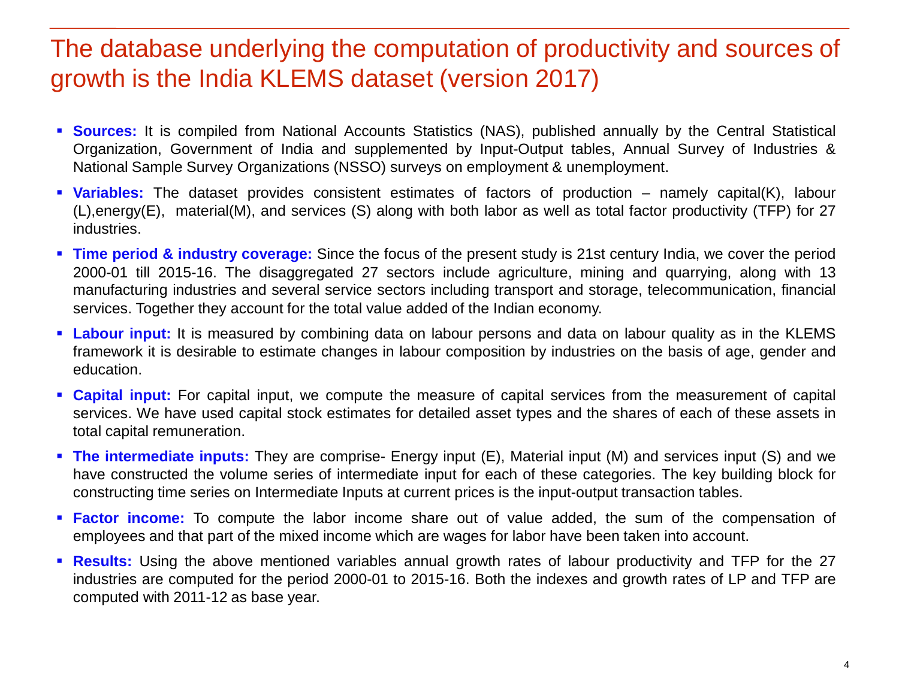#### The database underlying the computation of productivity and sources of growth is the India KLEMS dataset (version 2017)

- **Sources:** It is compiled from National Accounts Statistics (NAS), published annually by the Central Statistical Organization, Government of India and supplemented by Input-Output tables, Annual Survey of Industries & National Sample Survey Organizations (NSSO) surveys on employment & unemployment.
- **Variables:** The dataset provides consistent estimates of factors of production namely capital(K), labour (L),energy(E), material(M), and services (S) along with both labor as well as total factor productivity (TFP) for 27 industries.
- **Time period & industry coverage:** Since the focus of the present study is 21st century India, we cover the period 2000-01 till 2015-16. The disaggregated 27 sectors include agriculture, mining and quarrying, along with 13 manufacturing industries and several service sectors including transport and storage, telecommunication, financial services. Together they account for the total value added of the Indian economy.
- **Labour input:** It is measured by combining data on labour persons and data on labour quality as in the KLEMS framework it is desirable to estimate changes in labour composition by industries on the basis of age, gender and education.
- **Capital input:** For capital input, we compute the measure of capital services from the measurement of capital services. We have used capital stock estimates for detailed asset types and the shares of each of these assets in total capital remuneration.
- **The intermediate inputs:** They are comprise- Energy input (E), Material input (M) and services input (S) and we have constructed the volume series of intermediate input for each of these categories. The key building block for constructing time series on Intermediate Inputs at current prices is the input-output transaction tables.
- **Factor income:** To compute the labor income share out of value added, the sum of the compensation of employees and that part of the mixed income which are wages for labor have been taken into account.
- **Results:** Using the above mentioned variables annual growth rates of labour productivity and TFP for the 27 industries are computed for the period 2000-01 to 2015-16. Both the indexes and growth rates of LP and TFP are computed with 2011-12 as base year.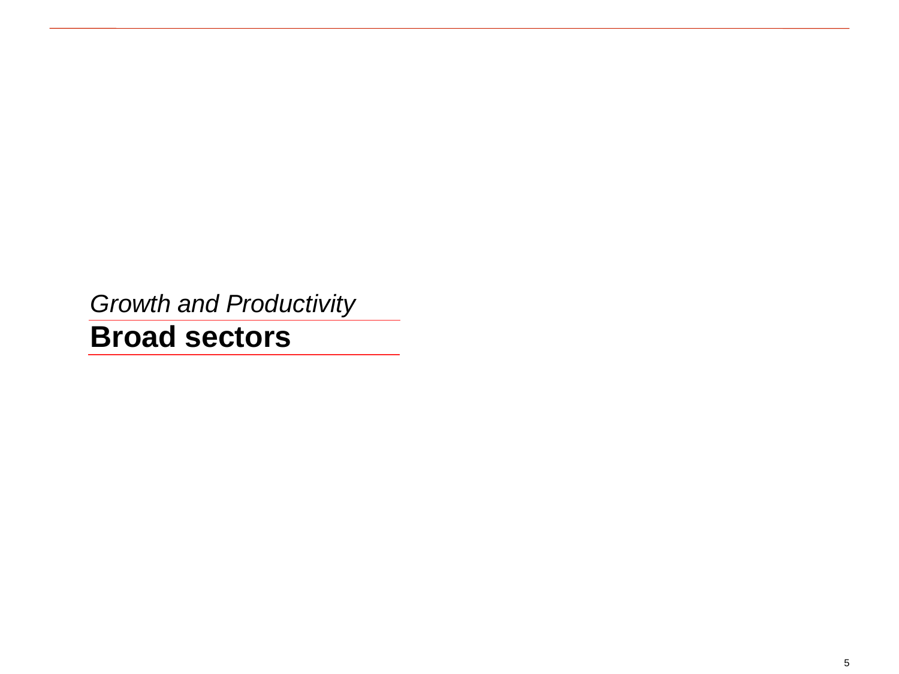*Growth and Productivity*

**Broad sectors**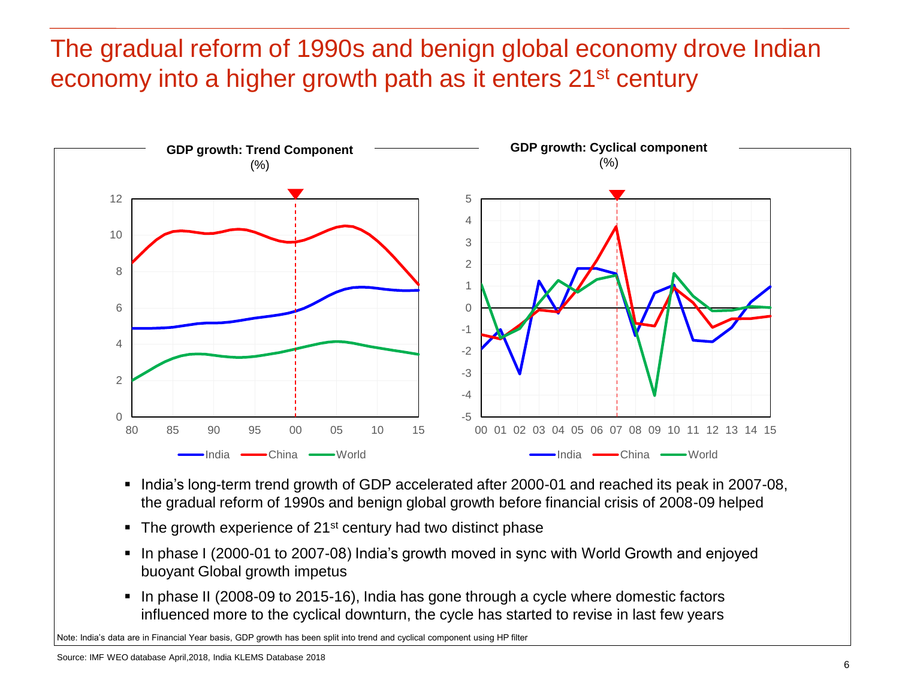## The gradual reform of 1990s and benign global economy drove Indian economy into a higher growth path as it enters 21<sup>st</sup> century



- India's long-term trend growth of GDP accelerated after 2000-01 and reached its peak in 2007-08, the gradual reform of 1990s and benign global growth before financial crisis of 2008-09 helped
- $\blacksquare$  The growth experience of 21<sup>st</sup> century had two distinct phase
- In phase I (2000-01 to 2007-08) India's growth moved in sync with World Growth and enjoyed buoyant Global growth impetus
- In phase II (2008-09 to 2015-16), India has gone through a cycle where domestic factors influenced more to the cyclical downturn, the cycle has started to revise in last few years

Note: India's data are in Financial Year basis, GDP growth has been split into trend and cyclical component using HP filter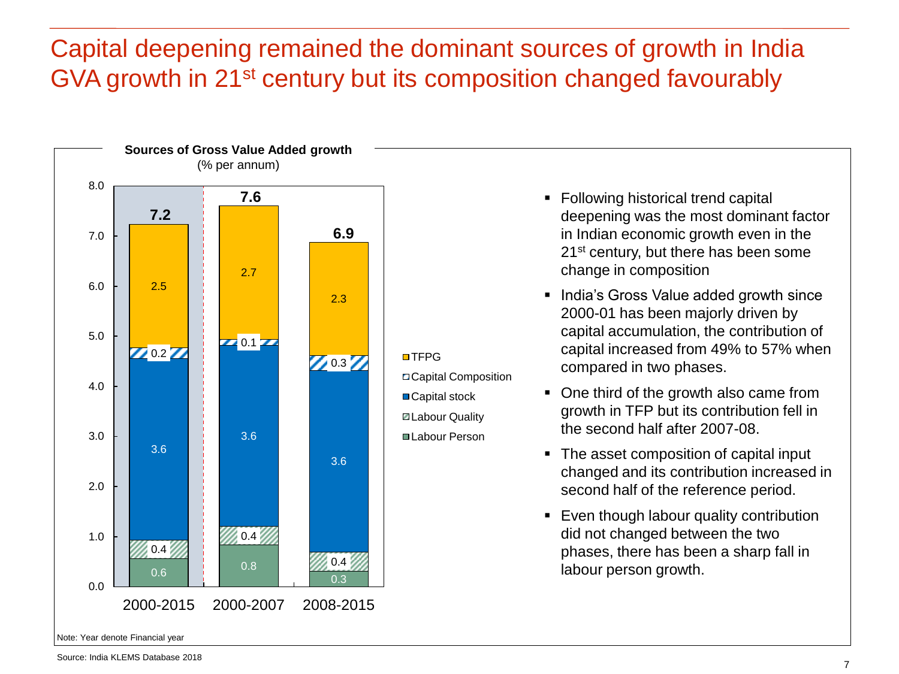## Capital deepening remained the dominant sources of growth in India GVA growth in 21st century but its composition changed favourably



- Following historical trend capital deepening was the most dominant factor in Indian economic growth even in the 21<sup>st</sup> century, but there has been some change in composition
- **India's Gross Value added growth since** 2000-01 has been majorly driven by capital accumulation, the contribution of capital increased from 49% to 57% when compared in two phases.
- One third of the growth also came from growth in TFP but its contribution fell in the second half after 2007-08.
- The asset composition of capital input changed and its contribution increased in second half of the reference period.
- **Even though labour quality contribution** did not changed between the two phases, there has been a sharp fall in labour person growth.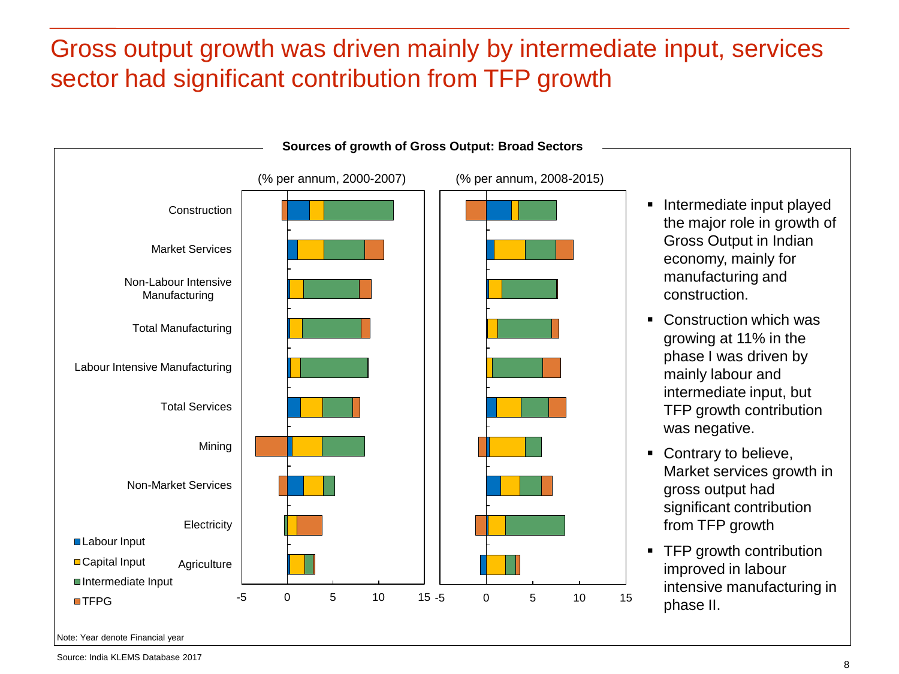## Gross output growth was driven mainly by intermediate input, services sector had significant contribution from TFP growth



Note: Year denote Financial year

Source: India KLEMS Database 2017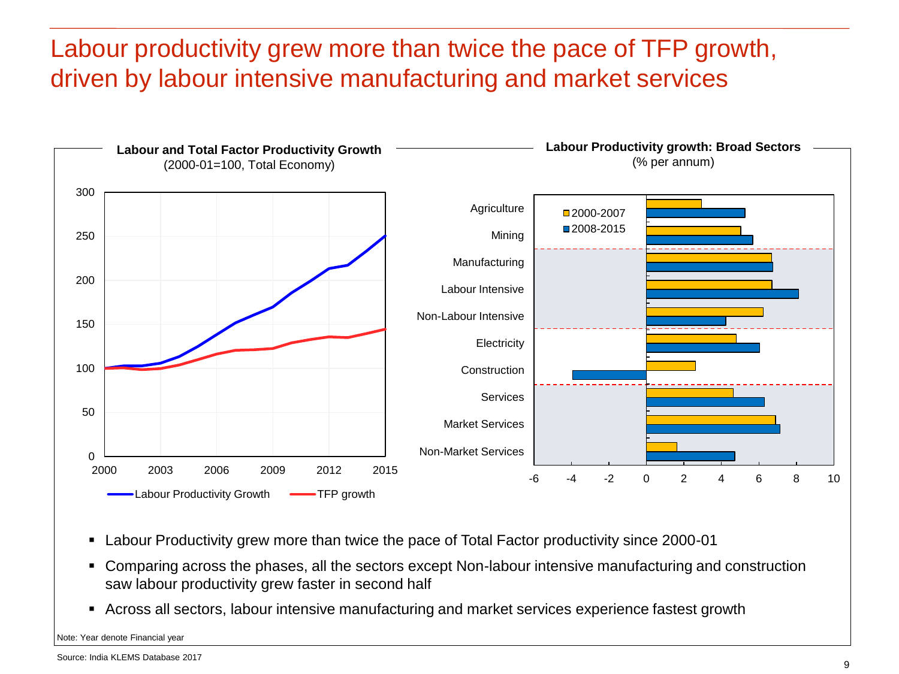#### Labour productivity grew more than twice the pace of TFP growth, driven by labour intensive manufacturing and market services



- Labour Productivity grew more than twice the pace of Total Factor productivity since 2000-01
- Comparing across the phases, all the sectors except Non-labour intensive manufacturing and construction saw labour productivity grew faster in second half
- Across all sectors, labour intensive manufacturing and market services experience fastest growth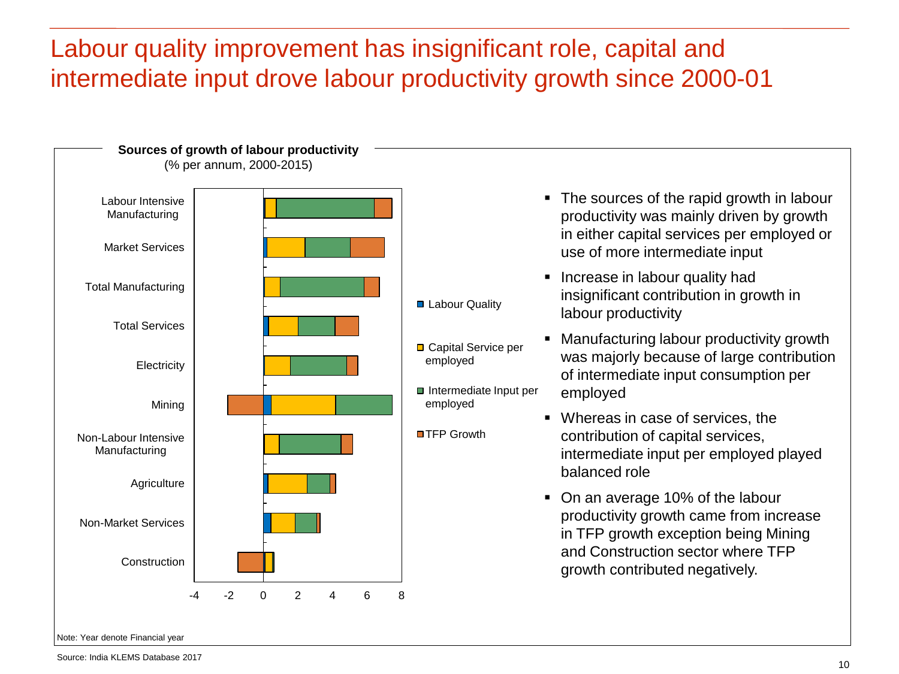#### Labour quality improvement has insignificant role, capital and intermediate input drove labour productivity growth since 2000-01

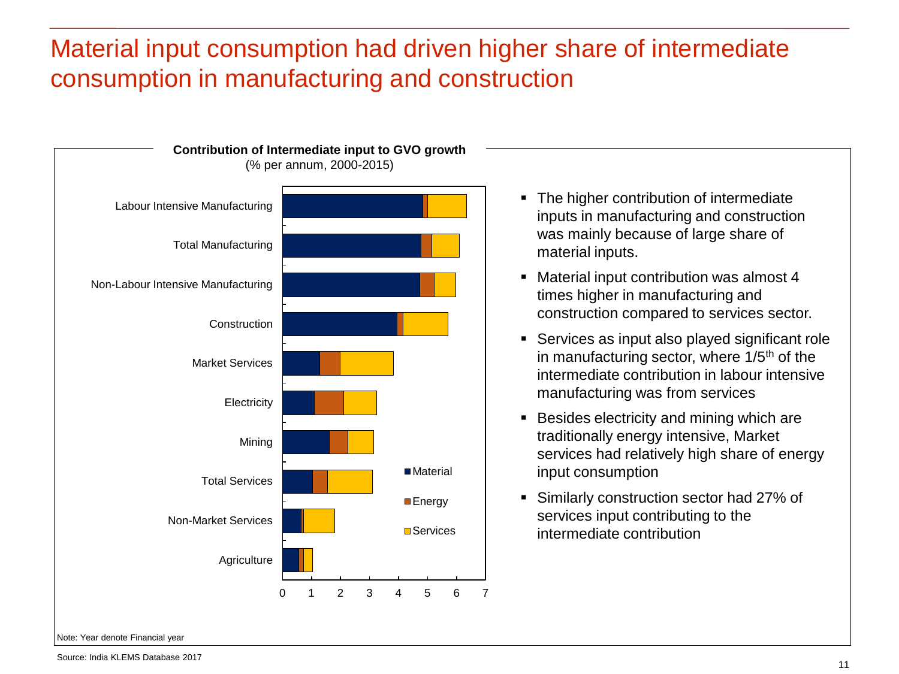#### Material input consumption had driven higher share of intermediate consumption in manufacturing and construction



- The higher contribution of intermediate inputs in manufacturing and construction was mainly because of large share of material inputs.
- Material input contribution was almost 4 times higher in manufacturing and construction compared to services sector.
- Services as input also played significant role in manufacturing sector, where  $1/5<sup>th</sup>$  of the intermediate contribution in labour intensive manufacturing was from services
- **Besides electricity and mining which are** traditionally energy intensive, Market services had relatively high share of energy input consumption
- Similarly construction sector had 27% of services input contributing to the intermediate contribution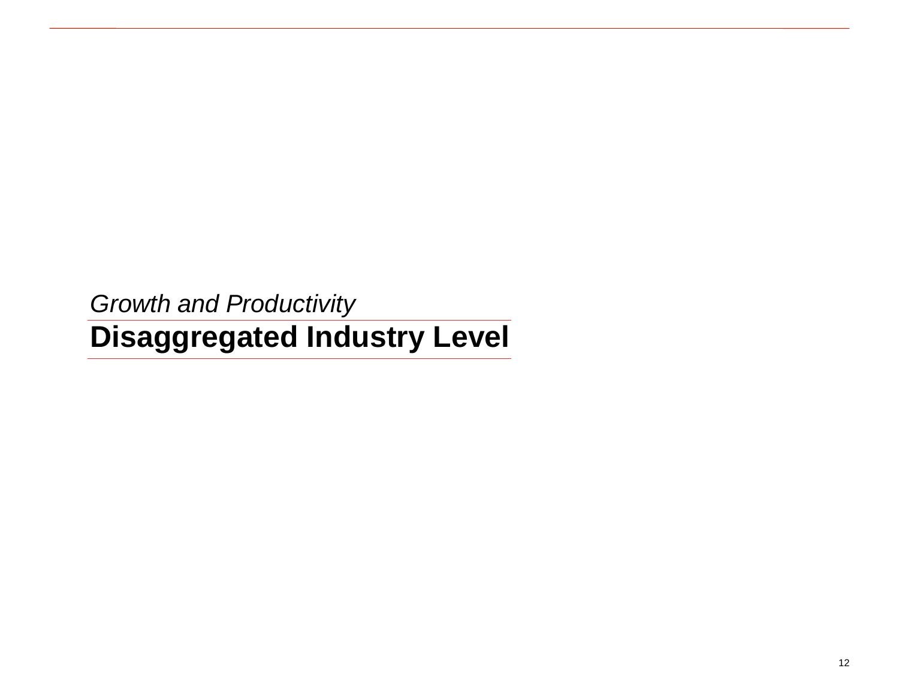*Growth and Productivity* **Disaggregated Industry Level**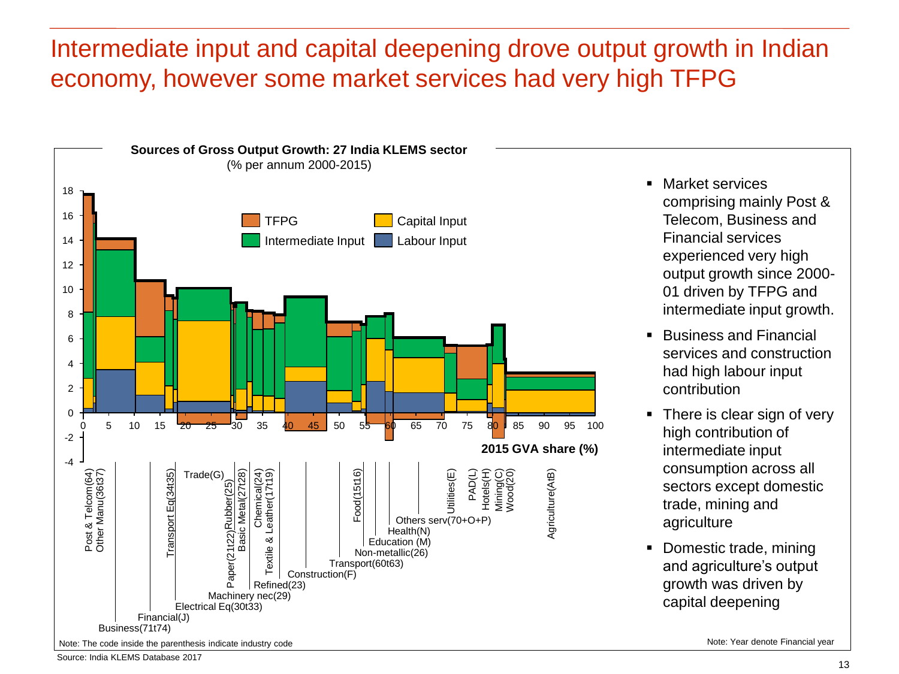#### Intermediate input and capital deepening drove output growth in Indian economy, however some market services had very high TFPG



- **Market services** comprising mainly Post & Telecom, Business and Financial services experienced very high output growth since 2000- 01 driven by TFPG and intermediate input growth.
- Business and Financial services and construction had high labour input contribution
- There is clear sign of very high contribution of intermediate input consumption across all sectors except domestic trade, mining and agriculture
- Domestic trade, mining and agriculture's output growth was driven by capital deepening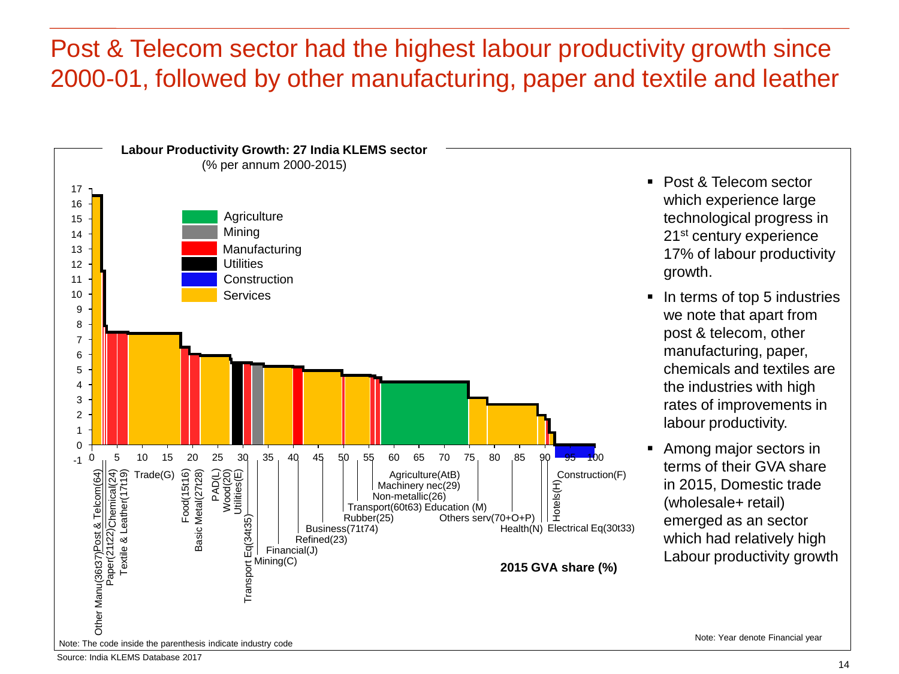#### Post & Telecom sector had the highest labour productivity growth since 2000-01, followed by other manufacturing, paper and textile and leather



- Post & Telecom sector which experience large technological progress in 21<sup>st</sup> century experience 17% of labour productivity growth.
- In terms of top 5 industries we note that apart from post & telecom, other manufacturing, paper, chemicals and textiles are the industries with high rates of improvements in labour productivity.
- Among major sectors in terms of their GVA share in 2015, Domestic trade (wholesale+ retail) emerged as an sector which had relatively high Labour productivity growth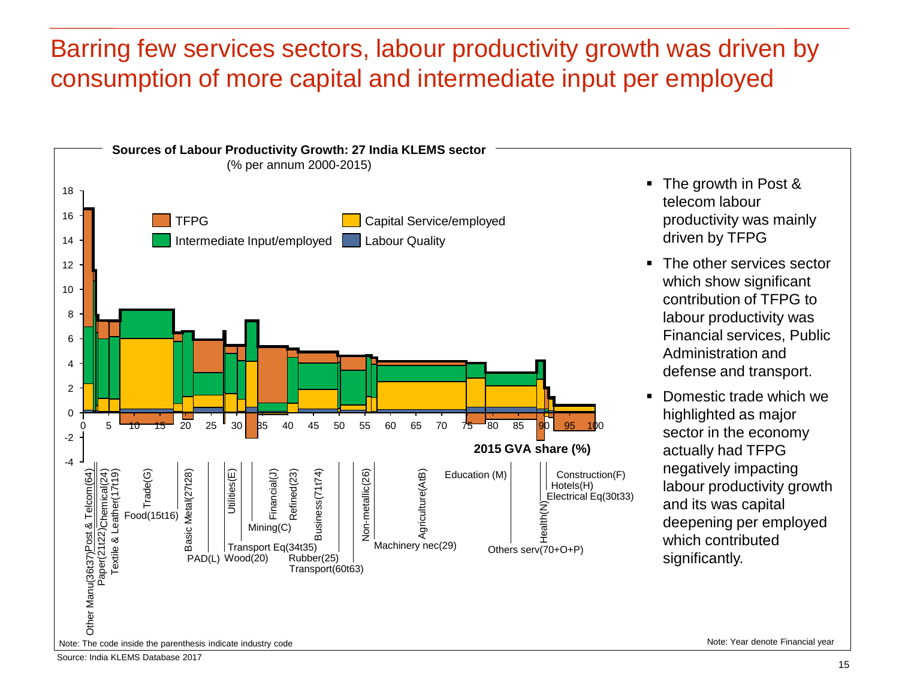#### Barring few services sectors, labour productivity growth was driven by consumption of more capital and intermediate input per employed

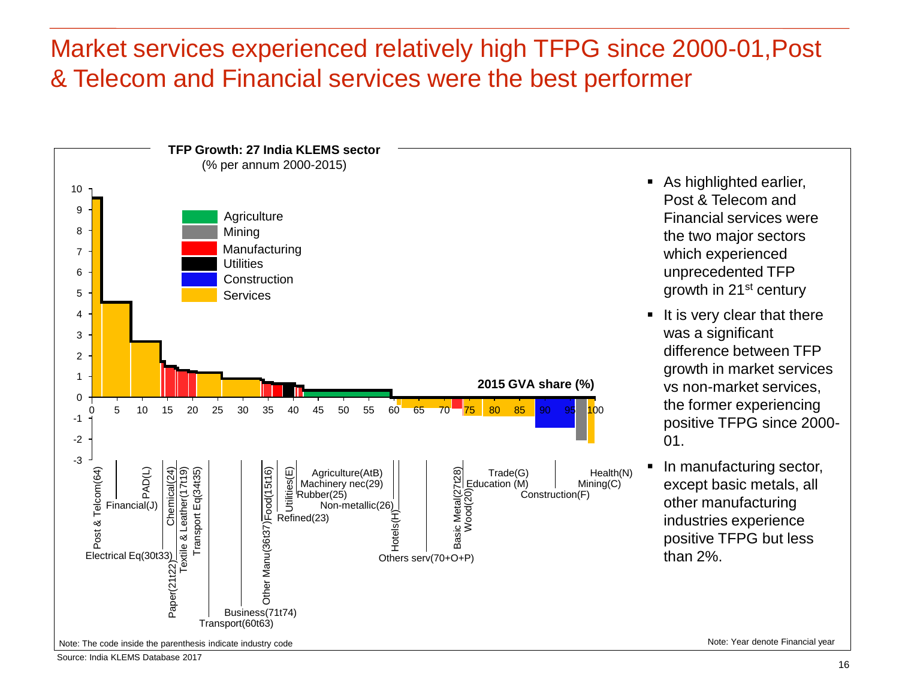#### Market services experienced relatively high TFPG since 2000-01,Post & Telecom and Financial services were the best performer

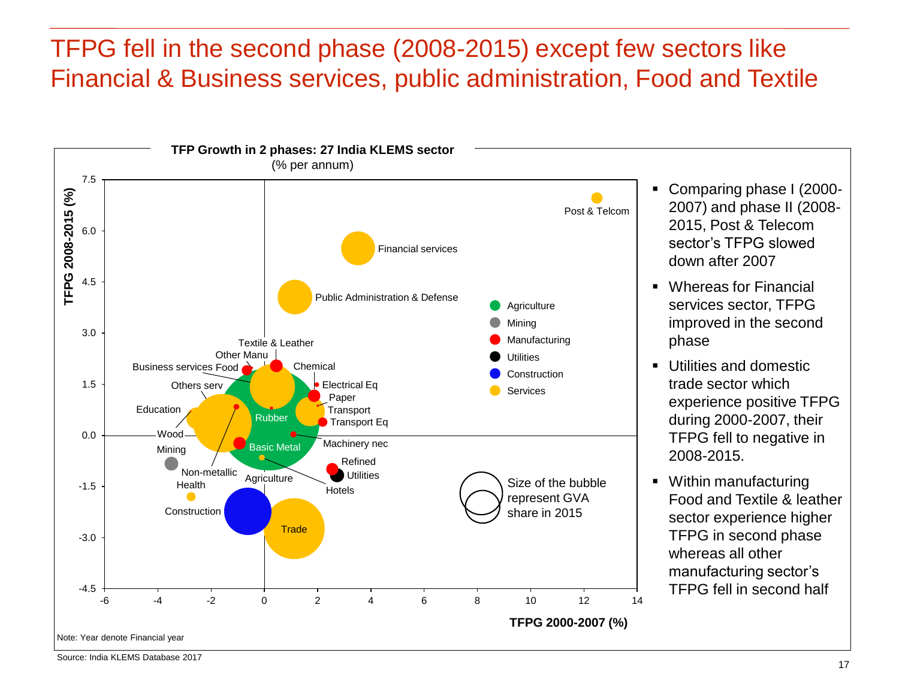#### TFPG fell in the second phase (2008-2015) except few sectors like Financial & Business services, public administration, Food and Textile

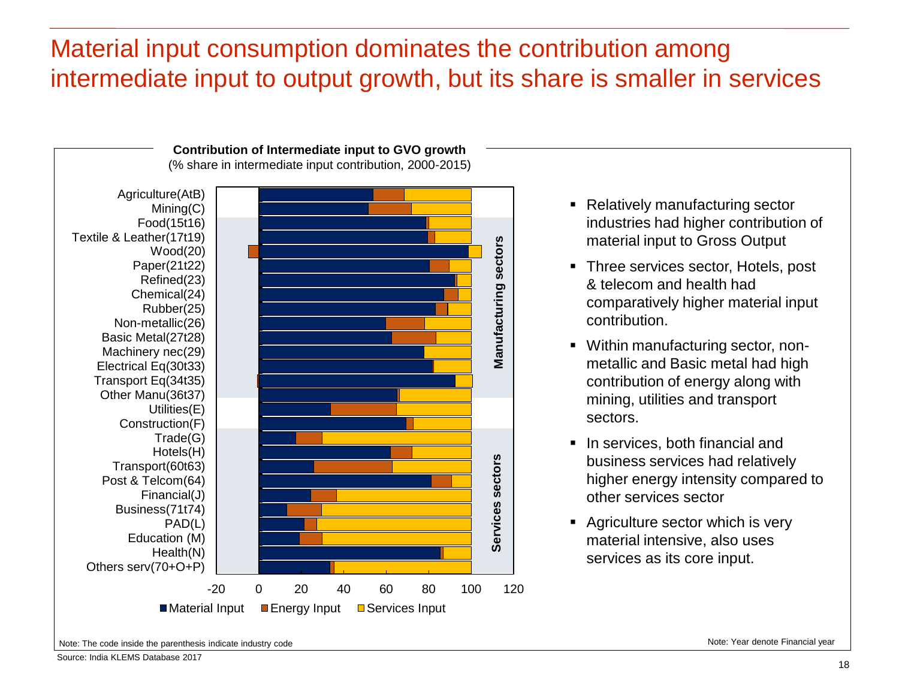#### Material input consumption dominates the contribution among intermediate input to output growth, but its share is smaller in services



- Relatively manufacturing sector industries had higher contribution of material input to Gross Output
- Three services sector, Hotels, post & telecom and health had comparatively higher material input contribution.
- Within manufacturing sector, nonmetallic and Basic metal had high contribution of energy along with mining, utilities and transport sectors.
- In services, both financial and business services had relatively higher energy intensity compared to other services sector
- Agriculture sector which is very material intensive, also uses services as its core input.

Note: The code inside the parenthesis indicate industry code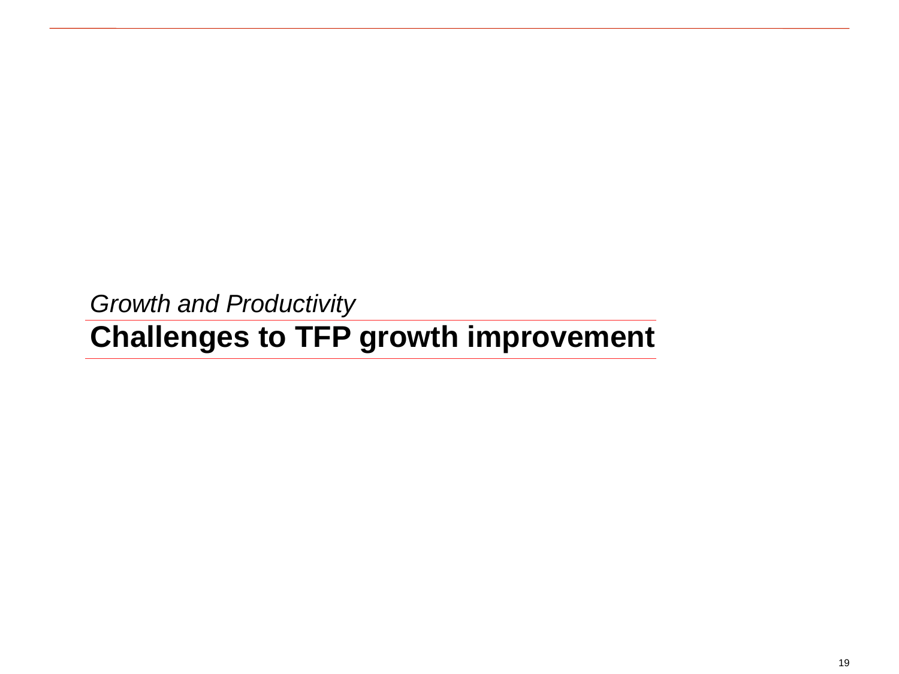*Growth and Productivity*

# **Challenges to TFP growth improvement**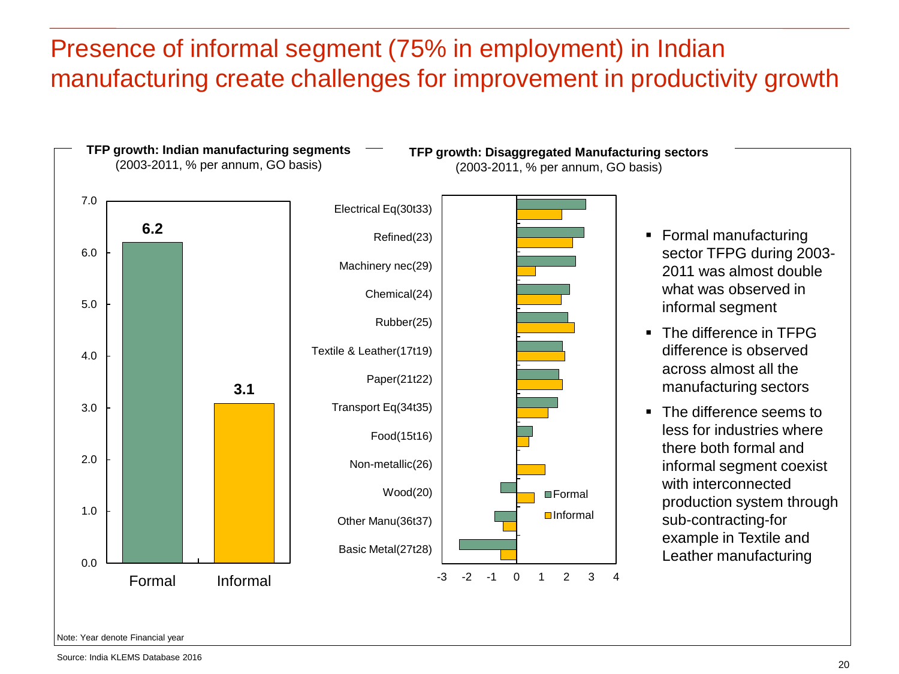#### Presence of informal segment (75% in employment) in Indian manufacturing create challenges for improvement in productivity growth



Note: Year denote Financial year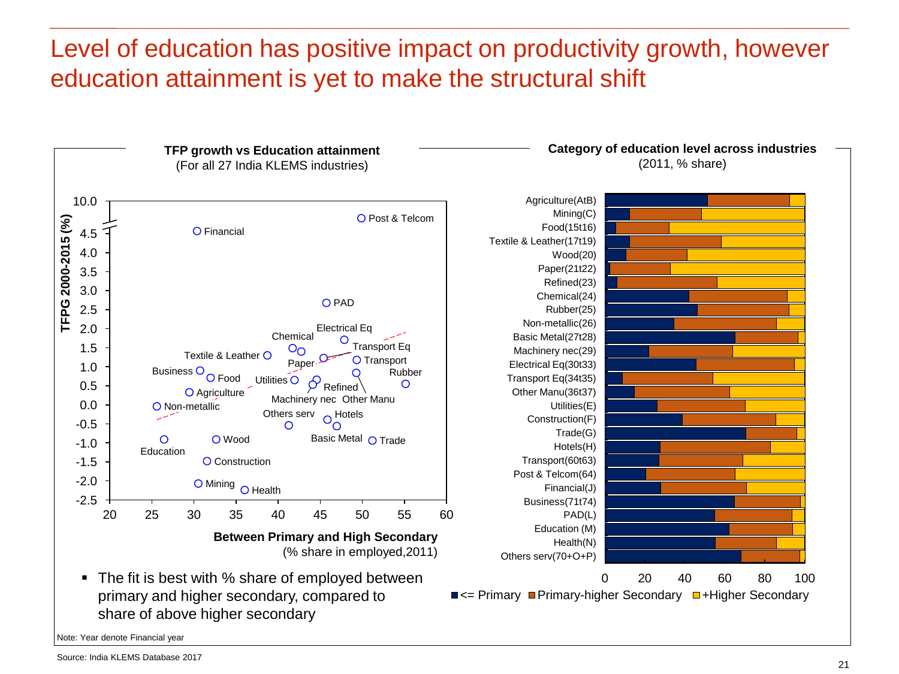#### Level of education has positive impact on productivity growth, however education attainment is yet to make the structural shift

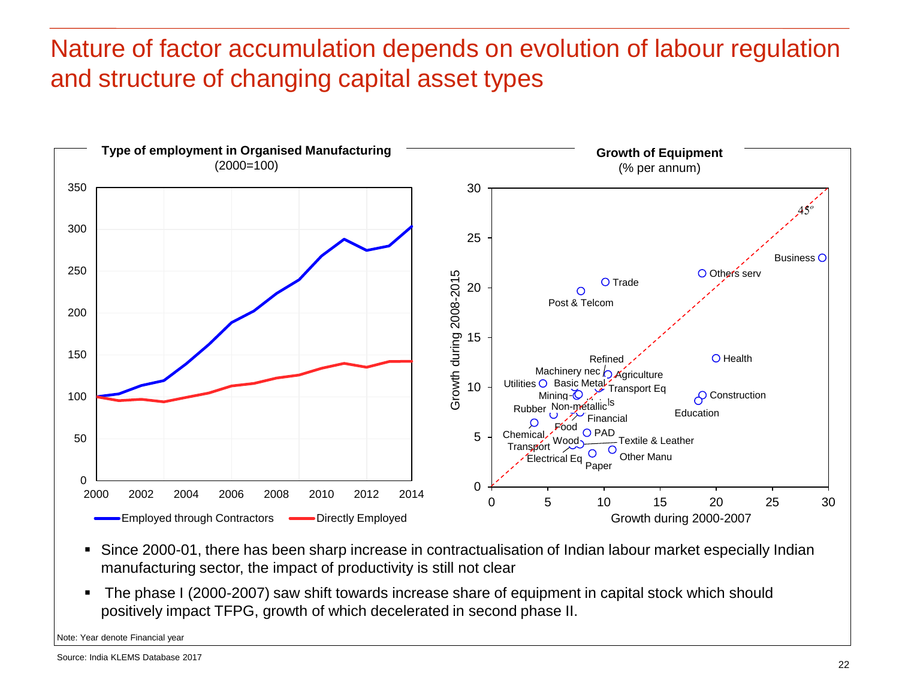## Nature of factor accumulation depends on evolution of labour regulation and structure of changing capital asset types



- Since 2000-01, there has been sharp increase in contractualisation of Indian labour market especially Indian manufacturing sector, the impact of productivity is still not clear
- The phase I (2000-2007) saw shift towards increase share of equipment in capital stock which should positively impact TFPG, growth of which decelerated in second phase II.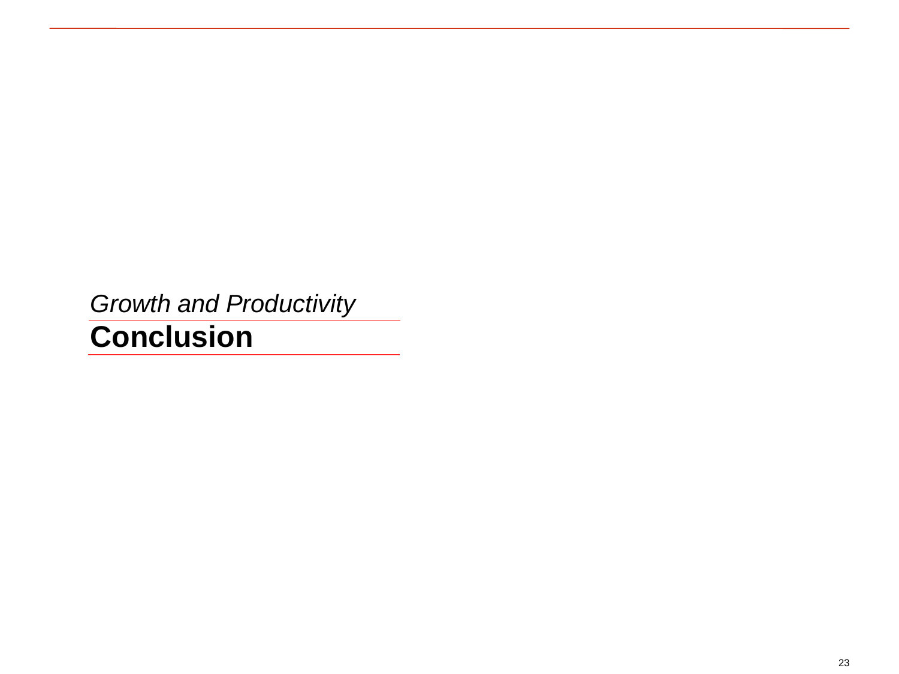*Growth and Productivity*

## **Conclusion**